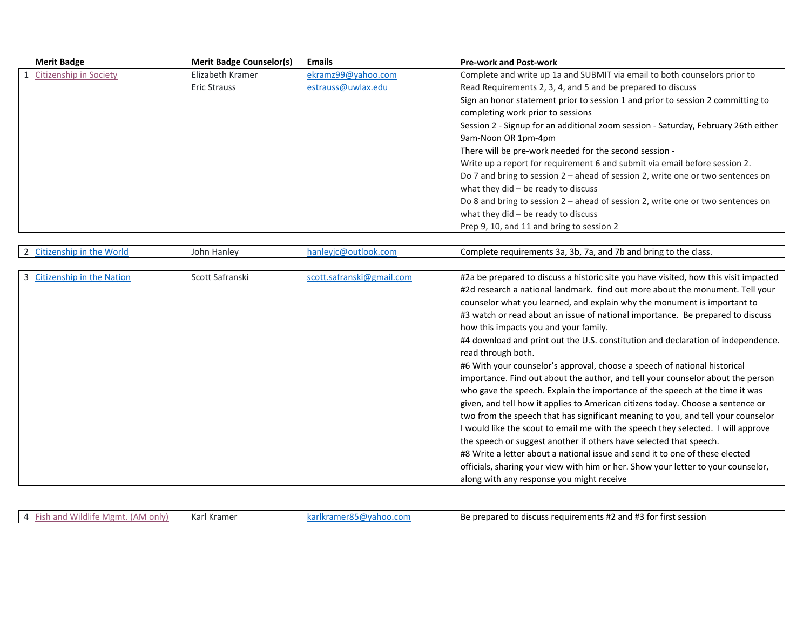| <b>Merit Badge</b>            | <b>Merit Badge Counselor(s)</b> | <b>Emails</b>             | <b>Pre-work and Post-work</b>                                                        |
|-------------------------------|---------------------------------|---------------------------|--------------------------------------------------------------------------------------|
| <b>Citizenship in Society</b> | Elizabeth Kramer                | ekramz99@yahoo.com        | Complete and write up 1a and SUBMIT via email to both counselors prior to            |
|                               | <b>Eric Strauss</b>             | estrauss@uwlax.edu        | Read Requirements 2, 3, 4, and 5 and be prepared to discuss                          |
|                               |                                 |                           | Sign an honor statement prior to session 1 and prior to session 2 committing to      |
|                               |                                 |                           | completing work prior to sessions                                                    |
|                               |                                 |                           | Session 2 - Signup for an additional zoom session - Saturday, February 26th either   |
|                               |                                 |                           | 9am-Noon OR 1pm-4pm                                                                  |
|                               |                                 |                           | There will be pre-work needed for the second session -                               |
|                               |                                 |                           | Write up a report for requirement 6 and submit via email before session 2.           |
|                               |                                 |                           | Do 7 and bring to session 2 - ahead of session 2, write one or two sentences on      |
|                               |                                 |                           | what they $did - be$ ready to discuss                                                |
|                               |                                 |                           | Do 8 and bring to session 2 – ahead of session 2, write one or two sentences on      |
|                               |                                 |                           | what they $did - be$ ready to discuss                                                |
|                               |                                 |                           | Prep 9, 10, and 11 and bring to session 2                                            |
|                               |                                 |                           |                                                                                      |
| 2 Citizenship in the World    | John Hanley                     | hanleyjc@outlook.com      | Complete requirements 3a, 3b, 7a, and 7b and bring to the class.                     |
|                               |                                 |                           |                                                                                      |
| 3 Citizenship in the Nation   | Scott Safranski                 | scott.safranski@gmail.com | #2a be prepared to discuss a historic site you have visited, how this visit impacted |
|                               |                                 |                           | #2d research a national landmark. find out more about the monument. Tell your        |
|                               |                                 |                           | counselor what you learned, and explain why the monument is important to             |
|                               |                                 |                           | #3 watch or read about an issue of national importance. Be prepared to discuss       |
|                               |                                 |                           | how this impacts you and your family.                                                |
|                               |                                 |                           | #4 download and print out the U.S. constitution and declaration of independence.     |
|                               |                                 |                           | read through both.                                                                   |
|                               |                                 |                           | #6 With your counselor's approval, choose a speech of national historical            |
|                               |                                 |                           | importance. Find out about the author, and tell your counselor about the person      |
|                               |                                 |                           | who gave the speech. Explain the importance of the speech at the time it was         |
|                               |                                 |                           | given, and tell how it applies to American citizens today. Choose a sentence or      |
|                               |                                 |                           | two from the speech that has significant meaning to you, and tell your counselor     |
|                               |                                 |                           | I would like the scout to email me with the speech they selected. I will approve     |
|                               |                                 |                           | the speech or suggest another if others have selected that speech.                   |
|                               |                                 |                           | #8 Write a letter about a national issue and send it to one of these elected         |
|                               |                                 |                           | officials, sharing your view with him or her. Show your letter to your counselor,    |
|                               |                                 |                           | along with any response you might receive                                            |

4 [Fish and Wildlife Mgmt. \(AM only\)](https://filestore.scouting.org/filestore/Merit_Badge_ReqandRes/Fish_and_WildlifeManagement.pdf?_gl=1*278np4*_ga*MTYzNzI3NDc3LjE2MzEwMzQ4NjU.*_ga_20G0JHESG4*MTY0MTQwMjAwOC41NC4xLjE2NDE0MDIxMDguMjc.&_ga=2.187687400.1944302913.1641235112-163727477.1631034865) Karl Kramer Karlkramer85@yahoo.com Be prepared to discuss requirements #2 and #3 for first session